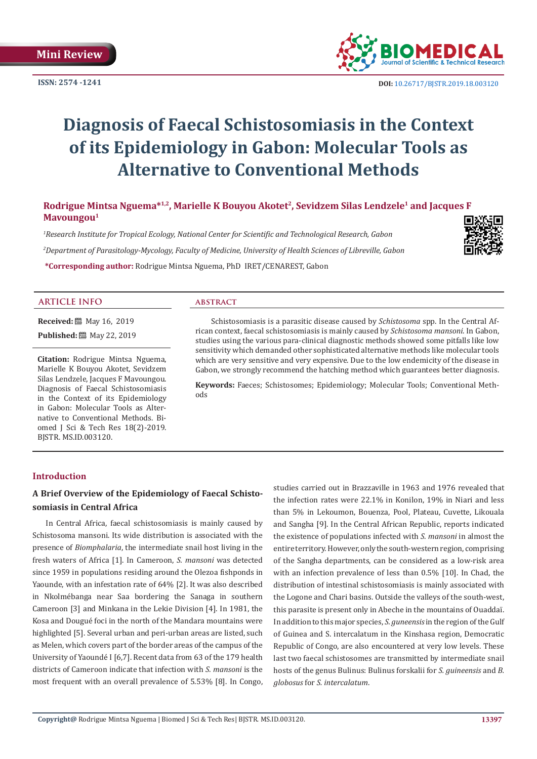**ISSN: 2574 -1241**



 **DOI:** [10.26717/BJSTR.2019.18.0031](http://dx.doi.org/10.26717/BJSTR.2019.18.003120)20

# **Diagnosis of Faecal Schistosomiasis in the Context of its Epidemiology in Gabon: Molecular Tools as Alternative to Conventional Methods**

Rodrigue Mintsa Nguema<sup>\*1,2</sup>, Marielle K Bouyou Akotet<sup>2</sup>, Sevidzem Silas Lendzele<sup>1</sup> and Jacques F **Mavoungou1**

*1 Research Institute for Tropical Ecology, National Center for Scientific and Technological Research, Gabon 2 Department of Parasitology-Mycology, Faculty of Medicine, University of Health Sciences of Libreville, Gabon* 



**ARTICLE INFO abstract**

**Received:** 圖 May 16, 2019 **Published:** ■ May 22, 2019

**Citation:** Rodrigue Mintsa Nguema, Marielle K Bouyou Akotet, Sevidzem Silas Lendzele, Jacques F Mavoungou. Diagnosis of Faecal Schistosomiasis in the Context of its Epidemiology in Gabon: Molecular Tools as Alternative to Conventional Methods. Biomed J Sci & Tech Res 18(2)-2019.

**\*Corresponding author:** Rodrigue Mintsa Nguema, PhD IRET/CENAREST, Gabon

 Schistosomiasis is a parasitic disease caused by *Schistosoma* spp. In the Central African context, faecal schistosomiasis is mainly caused by *Schistosoma mansoni*. In Gabon, studies using the various para-clinical diagnostic methods showed some pitfalls like low sensitivity which demanded other sophisticated alternative methods like molecular tools which are very sensitive and very expensive. Due to the low endemicity of the disease in Gabon, we strongly recommend the hatching method which guarantees better diagnosis.

**Keywords:** Faeces; Schistosomes; Epidemiology; Molecular Tools; Conventional Methods

# **Introduction**

BJSTR. MS.ID.003120.

# **A Brief Overview of the Epidemiology of Faecal Schistosomiasis in Central Africa**

In Central Africa, faecal schistosomiasis is mainly caused by Schistosoma mansoni. Its wide distribution is associated with the presence of *Biomphalaria*, the intermediate snail host living in the fresh waters of Africa [1]. In Cameroon, *S. mansoni* was detected since 1959 in populations residing around the Olezoa fishponds in Yaounde, with an infestation rate of 64% [2]. It was also described in Nkolmébanga near Saa bordering the Sanaga in southern Cameroon [3] and Minkana in the Lekie Division [4]. In 1981, the Kosa and Dougué foci in the north of the Mandara mountains were highlighted [5]. Several urban and peri-urban areas are listed, such as Melen, which covers part of the border areas of the campus of the University of Yaoundé I [6,7]. Recent data from 63 of the 179 health districts of Cameroon indicate that infection with *S. mansoni* is the most frequent with an overall prevalence of 5.53% [8]. In Congo,

studies carried out in Brazzaville in 1963 and 1976 revealed that the infection rates were 22.1% in Konilon, 19% in Niari and less than 5% in Lekoumon, Bouenza, Pool, Plateau, Cuvette, Likouala and Sangha [9]. In the Central African Republic, reports indicated the existence of populations infected with *S. mansoni* in almost the entire territory. However, only the south-western region, comprising of the Sangha departments, can be considered as a low-risk area with an infection prevalence of less than 0.5% [10]. In Chad, the distribution of intestinal schistosomiasis is mainly associated with the Logone and Chari basins. Outside the valleys of the south-west, this parasite is present only in Abeche in the mountains of Ouaddaï. In addition to this major species, *S. guneensis* in the region of the Gulf of Guinea and S. intercalatum in the Kinshasa region, Democratic Republic of Congo, are also encountered at very low levels. These last two faecal schistosomes are transmitted by intermediate snail hosts of the genus Bulinus: Bulinus forskalii for *S. guineensis* and *B. globosus* for *S. intercalatum*.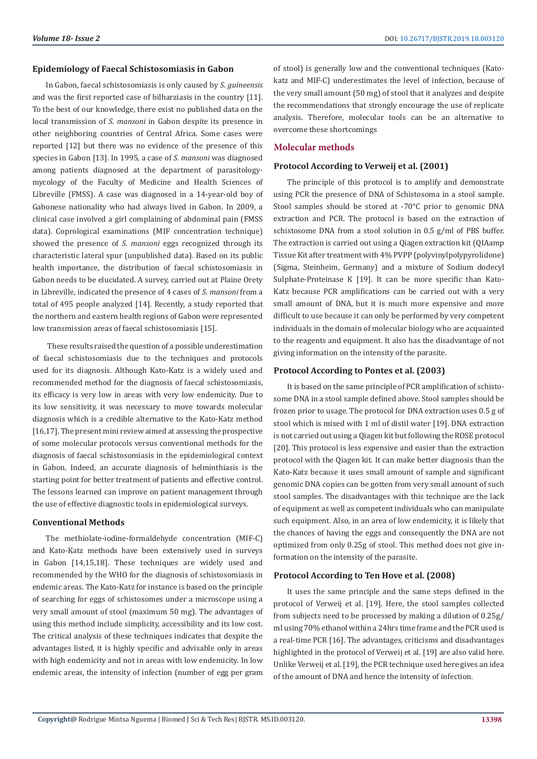#### **Epidemiology of Faecal Schistosomiasis in Gabon**

In Gabon, faecal schistosomiasis is only caused by *S. guineensis* and was the first reported case of bilharziasis in the country [11]. To the best of our knowledge, there exist no published data on the local transmission of *S. mansoni* in Gabon despite its presence in other neighboring countries of Central Africa. Some cases were reported [12] but there was no evidence of the presence of this species in Gabon [13]. In 1995, a case of *S. mansoni* was diagnosed among patients diagnosed at the department of parasitologymycology of the Faculty of Medicine and Health Sciences of Libreville (FMSS). A case was diagnosed in a 14-year-old boy of Gabonese nationality who had always lived in Gabon. In 2009, a clinical case involved a girl complaining of abdominal pain (FMSS data). Coprological examinations (MIF concentration technique) showed the presence of *S. mansoni* eggs recognized through its characteristic lateral spur (unpublished data). Based on its public health importance, the distribution of faecal schistosomiasis in Gabon needs to be elucidated. A survey, carried out at Plaine Orety in Libreville, indicated the presence of 4 cases of *S. mansoni* from a total of 495 people analyzed [14]. Recently, a study reported that the northern and eastern health regions of Gabon were represented low transmission areas of faecal schistosomiasis [15].

 These results raised the question of a possible underestimation of faecal schistosomiasis due to the techniques and protocols used for its diagnosis. Although Kato-Katz is a widely used and recommended method for the diagnosis of faecal schistosomiasis, its efficacy is very low in areas with very low endemicity. Due to its low sensitivity, it was necessary to move towards molecular diagnosis which is a credible alternative to the Kato-Katz method [16,17]. The present mini review aimed at assessing the prospective of some molecular protocols versus conventional methods for the diagnosis of faecal schistosomiasis in the epidemiological context in Gabon. Indeed, an accurate diagnosis of helminthiasis is the starting point for better treatment of patients and effective control. The lessons learned can improve on patient management through the use of effective diagnostic tools in epidemiological surveys.

#### **Conventional Methods**

The methiolate-iodine-formaldehyde concentration (MIF-C) and Kato-Katz methods have been extensively used in surveys in Gabon [14,15,18]. These techniques are widely used and recommended by the WHO for the diagnosis of schistosomiasis in endemic areas. The Kato-Katz for instance is based on the principle of searching for eggs of schistosomes under a microscope using a very small amount of stool (maximum 50 mg). The advantages of using this method include simplicity, accessibility and its low cost. The critical analysis of these techniques indicates that despite the advantages listed, it is highly specific and advisable only in areas with high endemicity and not in areas with low endemicity. In low endemic areas, the intensity of infection (number of egg per gram

of stool) is generally low and the conventional techniques (Katokatz and MIF-C) underestimates the level of infection, because of the very small amount (50 mg) of stool that it analyzes and despite the recommendations that strongly encourage the use of replicate analysis. Therefore, molecular tools can be an alternative to overcome these shortcomings

## **Molecular methods**

#### **Protocol According to Verweij et al. (2001)**

The principle of this protocol is to amplify and demonstrate using PCR the presence of DNA of Schistosoma in a stool sample. Stool samples should be stored at -70°C prior to genomic DNA extraction and PCR. The protocol is based on the extraction of schistosome DNA from a stool solution in 0.5 g/ml of PBS buffer. The extraction is carried out using a Qiagen extraction kit (QIAamp Tissue Kit after treatment with 4% PVPP (polyvinylpolypyrolidone) (Sigma, Steinheim, Germany) and a mixture of Sodium dodecyl Sulphate-Proteinase K [19]. It can be more specific than Kato-Katz because PCR amplifications can be carried out with a very small amount of DNA, but it is much more expensive and more difficult to use because it can only be performed by very competent individuals in the domain of molecular biology who are acquainted to the reagents and equipment. It also has the disadvantage of not giving information on the intensity of the parasite.

#### **Protocol According to Pontes et al. (2003)**

It is based on the same principle of PCR amplification of schistosome DNA in a stool sample defined above. Stool samples should be frozen prior to usage. The protocol for DNA extraction uses 0.5 g of stool which is mixed with 1 ml of distil water [19]. DNA extraction is not carried out using a Qiagen kit but following the ROSE protocol [20]. This protocol is less expensive and easier than the extraction protocol with the Qiagen kit. It can make better diagnosis than the Kato-Katz because it uses small amount of sample and significant genomic DNA copies can be gotten from very small amount of such stool samples. The disadvantages with this technique are the lack of equipment as well as competent individuals who can manipulate such equipment. Also, in an area of low endemicity, it is likely that the chances of having the eggs and consequently the DNA are not optimized from only 0.25g of stool. This method does not give information on the intensity of the parasite.

# **Protocol According to Ten Hove et al. (2008)**

It uses the same principle and the same steps defined in the protocol of Verweij et al. [19]. Here, the stool samples collected from subjects need to be processed by making a dilution of 0.25g/ ml using 70% ethanol within a 24hrs time frame and the PCR used is a real-time PCR [16]. The advantages, criticisms and disadvantages highlighted in the protocol of Verweij et al. [19] are also valid here. Unlike Verweij et al. [19], the PCR technique used here gives an idea of the amount of DNA and hence the intensity of infection.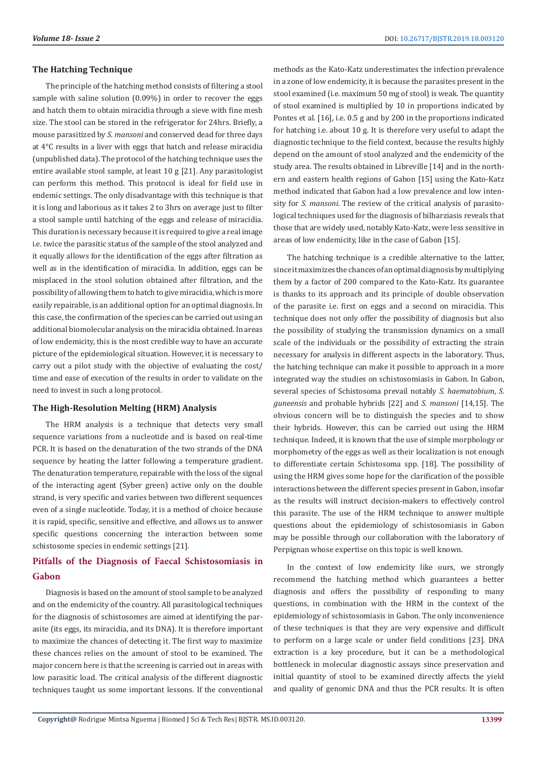## **The Hatching Technique**

The principle of the hatching method consists of filtering a stool sample with saline solution (0.09%) in order to recover the eggs and hatch them to obtain miracidia through a sieve with fine mesh size. The stool can be stored in the refrigerator for 24hrs. Briefly, a mouse parasitized by *S. mansoni* and conserved dead for three days at 4°C results in a liver with eggs that hatch and release miracidia (unpublished data). The protocol of the hatching technique uses the entire available stool sample, at least 10 g [21]. Any parasitologist can perform this method. This protocol is ideal for field use in endemic settings. The only disadvantage with this technique is that it is long and laborious as it takes 2 to 3hrs on average just to filter a stool sample until hatching of the eggs and release of miracidia. This duration is necessary because it is required to give a real image i.e. twice the parasitic status of the sample of the stool analyzed and it equally allows for the identification of the eggs after filtration as well as in the identification of miracidia. In addition, eggs can be misplaced in the stool solution obtained after filtration, and the possibility of allowing them to hatch to give miracidia, which is more easily repairable, is an additional option for an optimal diagnosis. In this case, the confirmation of the species can be carried out using an additional biomolecular analysis on the miracidia obtained. In areas of low endemicity, this is the most credible way to have an accurate picture of the epidemiological situation. However, it is necessary to carry out a pilot study with the objective of evaluating the cost/ time and ease of execution of the results in order to validate on the need to invest in such a long protocol.

#### **The High-Resolution Melting (HRM) Analysis**

The HRM analysis is a technique that detects very small sequence variations from a nucleotide and is based on real-time PCR. It is based on the denaturation of the two strands of the DNA sequence by heating the latter following a temperature gradient. The denaturation temperature, repairable with the loss of the signal of the interacting agent (Syber green) active only on the double strand, is very specific and varies between two different sequences even of a single nucleotide. Today, it is a method of choice because it is rapid, specific, sensitive and effective, and allows us to answer specific questions concerning the interaction between some schistosome species in endemic settings [21].

# **Pitfalls of the Diagnosis of Faecal Schistosomiasis in Gabon**

Diagnosis is based on the amount of stool sample to be analyzed and on the endemicity of the country. All parasitological techniques for the diagnosis of schistosomes are aimed at identifying the parasite (its eggs, its miracidia, and its DNA). It is therefore important to maximize the chances of detecting it. The first way to maximize these chances relies on the amount of stool to be examined. The major concern here is that the screening is carried out in areas with low parasitic load. The critical analysis of the different diagnostic techniques taught us some important lessons. If the conventional

methods as the Kato-Katz underestimates the infection prevalence in a zone of low endemicity, it is because the parasites present in the stool examined (i.e. maximum 50 mg of stool) is weak. The quantity of stool examined is multiplied by 10 in proportions indicated by Pontes et al. [16], i.e. 0.5 g and by 200 in the proportions indicated for hatching i.e. about 10 g. It is therefore very useful to adapt the diagnostic technique to the field context, because the results highly depend on the amount of stool analyzed and the endemicity of the study area. The results obtained in Libreville [14] and in the northern and eastern health regions of Gabon [15] using the Kato-Katz method indicated that Gabon had a low prevalence and low intensity for *S. mansoni*. The review of the critical analysis of parasitological techniques used for the diagnosis of bilharziasis reveals that those that are widely used, notably Kato-Katz, were less sensitive in areas of low endemicity, like in the case of Gabon [15].

The hatching technique is a credible alternative to the latter, since it maximizes the chances of an optimal diagnosis by multiplying them by a factor of 200 compared to the Kato-Katz. Its guarantee is thanks to its approach and its principle of double observation of the parasite i.e. first on eggs and a second on miracidia. This technique does not only offer the possibility of diagnosis but also the possibility of studying the transmission dynamics on a small scale of the individuals or the possibility of extracting the strain necessary for analysis in different aspects in the laboratory. Thus, the hatching technique can make it possible to approach in a more integrated way the studies on schistosomiasis in Gabon. In Gabon, several species of Schistosoma prevail notably *S. haematobium*, *S. guneensis* and probable hybrids [22] and *S. mansoni* [14,15]. The obvious concern will be to distinguish the species and to show their hybrids. However, this can be carried out using the HRM technique. Indeed, it is known that the use of simple morphology or morphometry of the eggs as well as their localization is not enough to differentiate certain Schistosoma spp. [18]. The possibility of using the HRM gives some hope for the clarification of the possible interactions between the different species present in Gabon, insofar as the results will instruct decision-makers to effectively control this parasite. The use of the HRM technique to answer multiple questions about the epidemiology of schistosomiasis in Gabon may be possible through our collaboration with the laboratory of Perpignan whose expertise on this topic is well known.

In the context of low endemicity like ours, we strongly recommend the hatching method which guarantees a better diagnosis and offers the possibility of responding to many questions, in combination with the HRM in the context of the epidemiology of schistosomiasis in Gabon. The only inconvenience of these techniques is that they are very expensive and difficult to perform on a large scale or under field conditions [23]. DNA extraction is a key procedure, but it can be a methodological bottleneck in molecular diagnostic assays since preservation and initial quantity of stool to be examined directly affects the yield and quality of genomic DNA and thus the PCR results. It is often